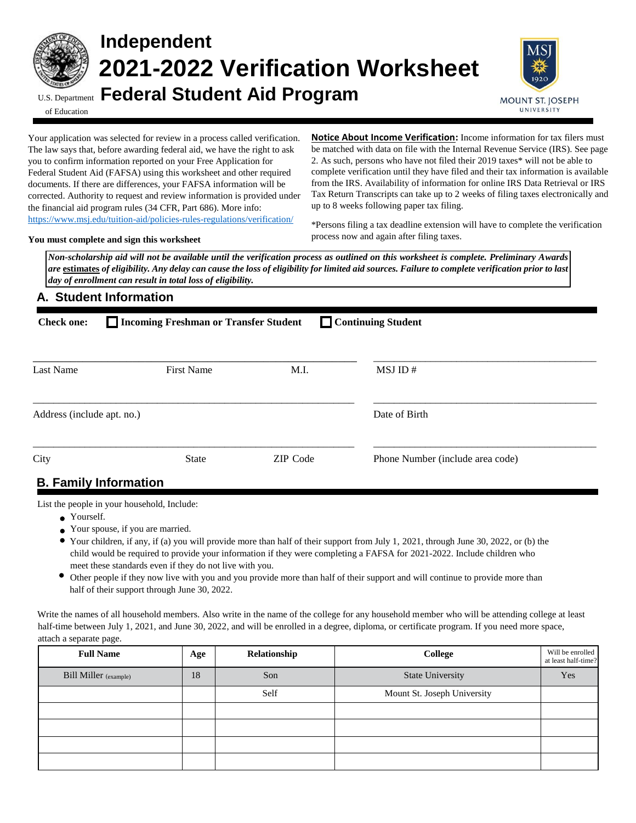

# **Independent 2021-2022 Verification Worksheet** U.S. Department **Federal Student Aid Program**



of Education

Your application was selected for review in a process called verification. The law says that, before awarding federal aid, we have the right to ask you to confirm information reported on your Free Application for Federal Student Aid (FAFSA) using this worksheet and other required documents. If there are differences, your FAFSA information will be corrected. Authority to request and review information is provided under the financial aid program rules (34 CFR, Part 686). More info: <https://www.msj.edu/tuition-aid/policies-rules-regulations/verification/>

**Notice About Income Verification:** Income information for tax filers must be matched with data on file with the Internal Revenue Service (IRS). See page 2. As such, persons who have not filed their 2019 taxes\* will not be able to complete verification until they have filed and their tax information is available from the IRS. Availability of information for online IRS Data Retrieval or IRS Tax Return Transcripts can take up to 2 weeks of filing taxes electronically and up to 8 weeks following paper tax filing.

**You must complete and sign this worksheet**

\*Persons filing a tax deadline extension will have to complete the verification process now and again after filing taxes.

*Non-scholarship aid will not be available until the verification process as outlined on this worksheet is complete. Preliminary Awards are* **estimates** *of eligibility. Any delay can cause the loss of eligibility for limited aid sources. Failure to complete verification prior to last day of enrollment can result in total loss of eligibility.* 

### **A. Student Information**

| Continuing Student<br>Incoming Freshman or Transfer Student<br><b>Check one:</b> |                   |                 |                                  |  |  |  |  |
|----------------------------------------------------------------------------------|-------------------|-----------------|----------------------------------|--|--|--|--|
| Last Name                                                                        | <b>First Name</b> | M.I.            | MSJ ID#                          |  |  |  |  |
| Address (include apt. no.)                                                       |                   |                 | Date of Birth                    |  |  |  |  |
| City                                                                             | <b>State</b>      | <b>ZIP</b> Code | Phone Number (include area code) |  |  |  |  |
| <b>R</b> Family Information                                                      |                   |                 |                                  |  |  |  |  |

# **B. Family Information**

List the people in your household, Include:

- Yourself.
- Your spouse, if you are married.
- Your children, if any, if (a) you will provide more than half of their support from July 1, 2021, through June 30, 2022, or (b) the child would be required to provide your information if they were completing a FAFSA for 2021-2022. Include children who meet these standards even if they do not live with you.
- Other people if they now live with you and you provide more than half of their support and will continue to provide more than half of their support through June 30, 2022.

Write the names of all household members. Also write in the name of the college for any household member who will be attending college at least half-time between July 1, 2021, and June 30, 2022, and will be enrolled in a degree, diploma, or certificate program. If you need more space, attach a separate page.

| <b>Full Name</b>             | Age | Relationship | College                     | Will be enrolled<br>at least half-time? |
|------------------------------|-----|--------------|-----------------------------|-----------------------------------------|
| <b>Bill Miller</b> (example) | 18  | Son          | <b>State University</b>     | Yes                                     |
|                              |     | Self         | Mount St. Joseph University |                                         |
|                              |     |              |                             |                                         |
|                              |     |              |                             |                                         |
|                              |     |              |                             |                                         |
|                              |     |              |                             |                                         |